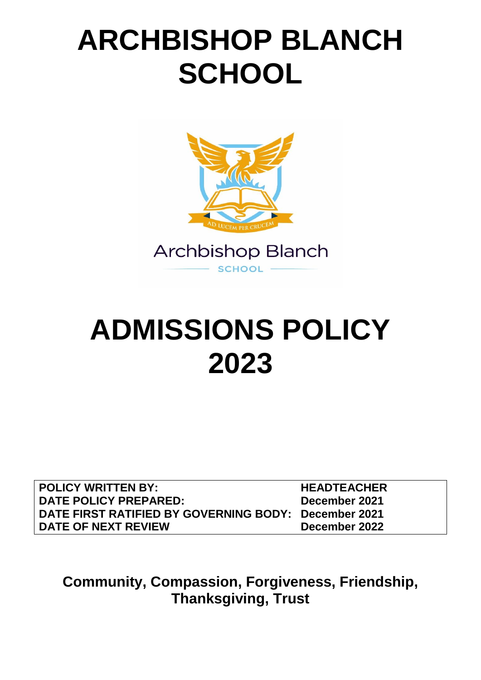# **ARCHBISHOP BLANCH SCHOOL**



# **ADMISSIONS POLICY 2023**

| <b>POLICY WRITTEN BY:</b>                            | <b>HEADTEACHER</b> |
|------------------------------------------------------|--------------------|
| DATE POLICY PREPARED:                                | December 2021      |
| DATE FIRST RATIFIED BY GOVERNING BODY: December 2021 |                    |
| DATE OF NEXT REVIEW                                  | December 2022      |

**Community, Compassion, Forgiveness, Friendship, Thanksgiving, Trust**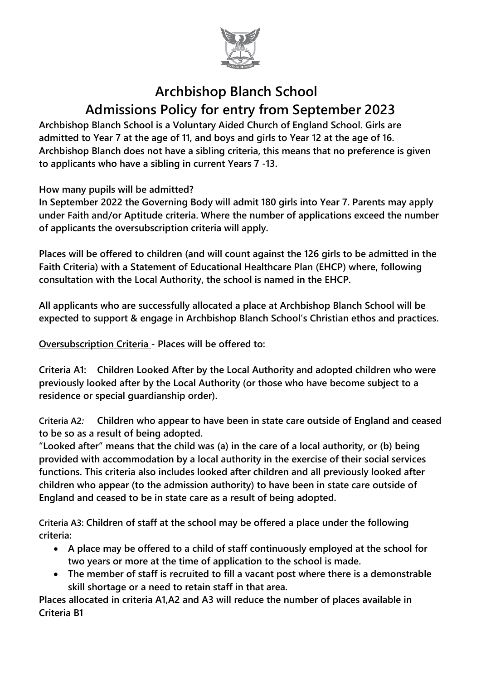

# **Archbishop Blanch School Admissions Policy for entry from September 2023**

**Archbishop Blanch School is a Voluntary Aided Church of England School. Girls are admitted to Year 7 at the age of 11, and boys and girls to Year 12 at the age of 16. Archbishop Blanch does not have a sibling criteria, this means that no preference is given to applicants who have a sibling in current Years 7 -13.**

**How many pupils will be admitted?**

**In September 2022 the Governing Body will admit 180 girls into Year 7. Parents may apply under Faith and/or Aptitude criteria. Where the number of applications exceed the number of applicants the oversubscription criteria will apply.**

**Places will be offered to children (and will count against the 126 girls to be admitted in the Faith Criteria) with a Statement of Educational Healthcare Plan (EHCP) where, following consultation with the Local Authority, the school is named in the EHCP.**

**All applicants who are successfully allocated a place at Archbishop Blanch School will be expected to support & engage in Archbishop Blanch School's Christian ethos and practices.**

**Oversubscription Criteria - Places will be offered to:**

**Criteria A1: Children Looked After by the Local Authority and adopted children who were previously looked after by the Local Authority (or those who have become subject to a residence or special guardianship order).**

**Criteria A2***:* **Children who appear to have been in state care outside of England and ceased to be so as a result of being adopted.**

**"Looked after" means that the child was (a) in the care of a local authority, or (b) being provided with accommodation by a local authority in the exercise of their social services functions. This criteria also includes looked after children and all previously looked after children who appear (to the admission authority) to have been in state care outside of England and ceased to be in state care as a result of being adopted.**

**Criteria A3: Children of staff at the school may be offered a place under the following criteria:**

- **A place may be offered to a child of staff continuously employed at the school for two years or more at the time of application to the school is made.**
- **The member of staff is recruited to fill a vacant post where there is a demonstrable skill shortage or a need to retain staff in that area.**

**Places allocated in criteria A1,A2 and A3 will reduce the number of places available in Criteria B1**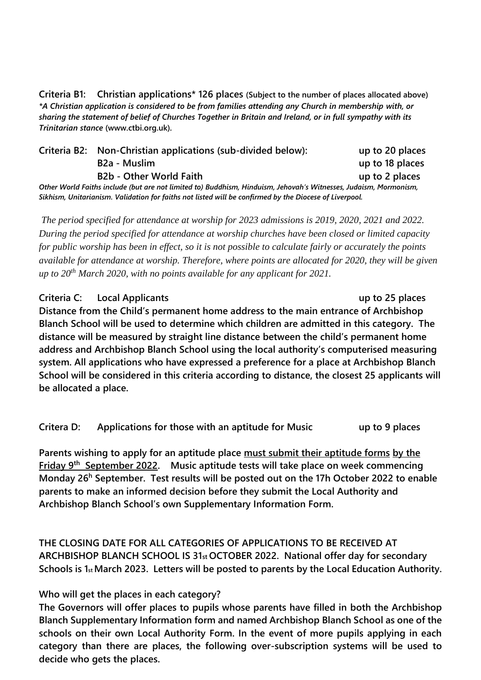**Criteria B1: Christian applications\* 126 places (Subject to the number of places allocated above)** *\*A Christian application is considered to be from families attending any Church in membership with, or sharing the statement of belief of Churches Together in Britain and Ireland, or in full sympathy with its Trinitarian stance* **(www.ctbi.org.uk)***.*

|                                                                                                                  | Criteria B2: Non-Christian applications (sub-divided below): | up to 20 places |  |  |  |  |
|------------------------------------------------------------------------------------------------------------------|--------------------------------------------------------------|-----------------|--|--|--|--|
|                                                                                                                  | B <sub>2</sub> a - Muslim                                    | up to 18 places |  |  |  |  |
|                                                                                                                  | <b>B2b - Other World Faith</b>                               | up to 2 places  |  |  |  |  |
| Other World Faiths include (but are not limited to) Buddhism, Hinduism, Jehovah's Witnesses, Judaism, Mormonism, |                                                              |                 |  |  |  |  |
| Sikhism, Unitarianism. Validation for faiths not listed will be confirmed by the Diocese of Liverpool.           |                                                              |                 |  |  |  |  |

*The period specified for attendance at worship for 2023 admissions is 2019, 2020, 2021 and 2022. During the period specified for attendance at worship churches have been closed or limited capacity for public worship has been in effect, so it is not possible to calculate fairly or accurately the points available for attendance at worship. Therefore, where points are allocated for 2020, they will be given up to 20th March 2020, with no points available for any applicant for 2021.*

#### **Criteria C: Local Applicants up to 25 places**

**Distance from the Child's permanent home address to the main entrance of Archbishop Blanch School will be used to determine which children are admitted in this category. The distance will be measured by straight line distance between the child's permanent home address and Archbishop Blanch School using the local authority's computerised measuring system. All applications who have expressed a preference for a place at Archbishop Blanch School will be considered in this criteria according to distance, the closest 25 applicants will be allocated a place.**

**Critera D: Applications for those with an aptitude for Music up to 9 places**

**Parents wishing to apply for an aptitude place must submit their aptitude forms by the Friday 9th September 2022. Music aptitude tests will take place on week commencing Monday 26<sup>h</sup> September. Test results will be posted out on the 17h October 2022 to enable parents to make an informed decision before they submit the Local Authority and Archbishop Blanch School's own Supplementary Information Form.** 

**THE CLOSING DATE FOR ALL CATEGORIES OF APPLICATIONS TO BE RECEIVED AT ARCHBISHOP BLANCH SCHOOL IS 31st OCTOBER 2022. National offer day for secondary Schools is 1st March 2023. Letters will be posted to parents by the Local Education Authority.**

#### **Who will get the places in each category?**

**The Governors will offer places to pupils whose parents have filled in both the Archbishop Blanch Supplementary Information form and named Archbishop Blanch School as one of the schools on their own Local Authority Form. In the event of more pupils applying in each category than there are places, the following over-subscription systems will be used to decide who gets the places.**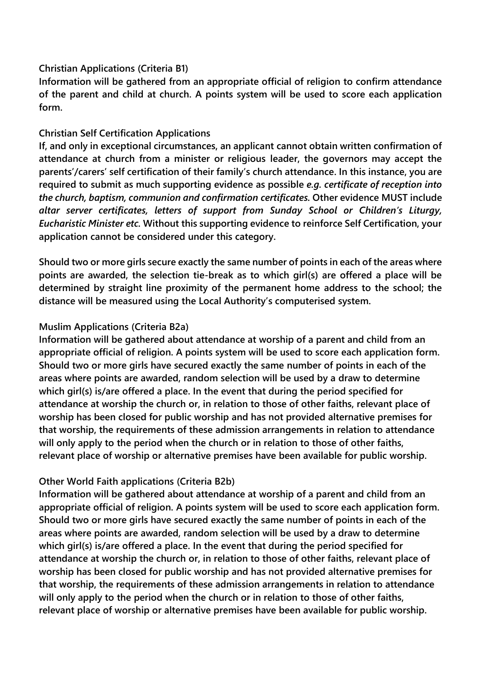#### **Christian Applications (Criteria B1)**

**Information will be gathered from an appropriate official of religion to confirm attendance of the parent and child at church. A points system will be used to score each application form.** 

#### **Christian Self Certification Applications**

**If, and only in exceptional circumstances, an applicant cannot obtain written confirmation of attendance at church from a minister or religious leader, the governors may accept the parents'/carers' self certification of their family's church attendance. In this instance, you are required to submit as much supporting evidence as possible** *e.g. certificate of reception into the church, baptism, communion and confirmation certificates.* **Other evidence MUST include**  *altar server certificates, letters of support from Sunday School or Children's Liturgy, Eucharistic Minister etc.* **Without this supporting evidence to reinforce Self Certification, your application cannot be considered under this category.**

**Should two or more girls secure exactly the same number of points in each of the areas where points are awarded, the selection tie-break as to which girl(s) are offered a place will be determined by straight line proximity of the permanent home address to the school; the distance will be measured using the Local Authority's computerised system.**

#### **Muslim Applications (Criteria B2a)**

**Information will be gathered about attendance at worship of a parent and child from an appropriate official of religion. A points system will be used to score each application form. Should two or more girls have secured exactly the same number of points in each of the areas where points are awarded, random selection will be used by a draw to determine which girl(s) is/are offered a place. In the event that during the period specified for attendance at worship the church or, in relation to those of other faiths, relevant place of worship has been closed for public worship and has not provided alternative premises for that worship, the requirements of these admission arrangements in relation to attendance will only apply to the period when the church or in relation to those of other faiths, relevant place of worship or alternative premises have been available for public worship.**

#### **Other World Faith applications (Criteria B2b)**

**Information will be gathered about attendance at worship of a parent and child from an appropriate official of religion. A points system will be used to score each application form. Should two or more girls have secured exactly the same number of points in each of the areas where points are awarded, random selection will be used by a draw to determine which girl(s) is/are offered a place. In the event that during the period specified for attendance at worship the church or, in relation to those of other faiths, relevant place of worship has been closed for public worship and has not provided alternative premises for that worship, the requirements of these admission arrangements in relation to attendance will only apply to the period when the church or in relation to those of other faiths, relevant place of worship or alternative premises have been available for public worship.**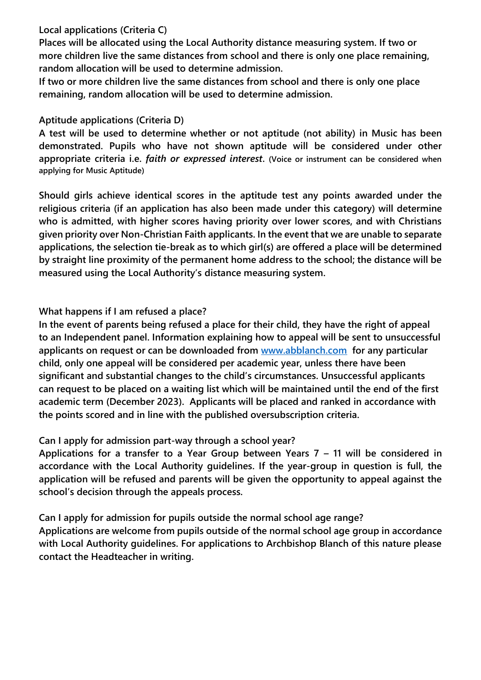#### **Local applications (Criteria C)**

**Places will be allocated using the Local Authority distance measuring system. If two or more children live the same distances from school and there is only one place remaining, random allocation will be used to determine admission.**

**If two or more children live the same distances from school and there is only one place remaining, random allocation will be used to determine admission.**

#### **Aptitude applications (Criteria D)**

**A test will be used to determine whether or not aptitude (not ability) in Music has been demonstrated. Pupils who have not shown aptitude will be considered under other appropriate criteria i.e.** *faith or expressed interest***. (Voice or instrument can be considered when applying for Music Aptitude)**

**Should girls achieve identical scores in the aptitude test any points awarded under the religious criteria (if an application has also been made under this category) will determine who is admitted, with higher scores having priority over lower scores, and with Christians given priority over Non-Christian Faith applicants. In the event that we are unable to separate applications, the selection tie-break as to which girl(s) are offered a place will be determined by straight line proximity of the permanent home address to the school; the distance will be measured using the Local Authority's distance measuring system.**

#### **What happens if I am refused a place?**

**In the event of parents being refused a place for their child, they have the right of appeal to an Independent panel. Information explaining how to appeal will be sent to unsuccessful applicants on request or can be downloaded from [www.abblanch.com](http://www.abblanch.com/) for any particular child, only one appeal will be considered per academic year, unless there have been significant and substantial changes to the child's circumstances. Unsuccessful applicants can request to be placed on a waiting list which will be maintained until the end of the first academic term (December 2023). Applicants will be placed and ranked in accordance with the points scored and in line with the published oversubscription criteria.** 

#### **Can I apply for admission part-way through a school year?**

**Applications for a transfer to a Year Group between Years 7 – 11 will be considered in accordance with the Local Authority guidelines. If the year-group in question is full, the application will be refused and parents will be given the opportunity to appeal against the school's decision through the appeals process.** 

**Can I apply for admission for pupils outside the normal school age range? Applications are welcome from pupils outside of the normal school age group in accordance with Local Authority guidelines. For applications to Archbishop Blanch of this nature please contact the Headteacher in writing.**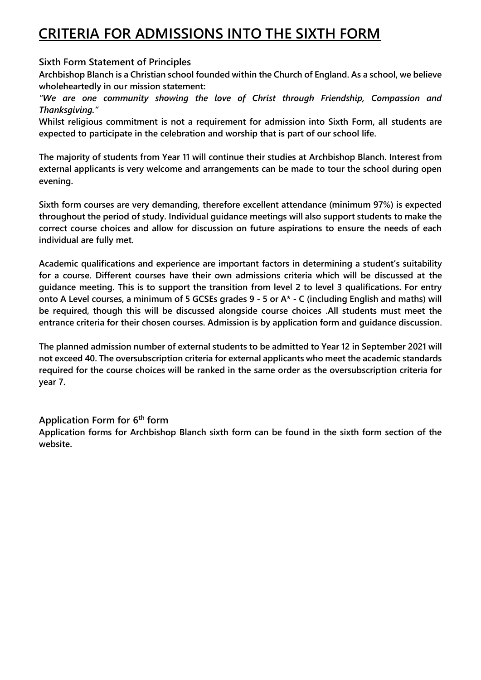# **CRITERIA FOR ADMISSIONS INTO THE SIXTH FORM**

#### **Sixth Form Statement of Principles**

**Archbishop Blanch is a Christian school founded within the Church of England. As a school, we believe wholeheartedly in our mission statement:** 

*"We are one community showing the love of Christ through Friendship, Compassion and Thanksgiving."*

**Whilst religious commitment is not a requirement for admission into Sixth Form, all students are expected to participate in the celebration and worship that is part of our school life.** 

**The majority of students from Year 11 will continue their studies at Archbishop Blanch. Interest from external applicants is very welcome and arrangements can be made to tour the school during open evening.**

**Sixth form courses are very demanding, therefore excellent attendance (minimum 97%) is expected throughout the period of study. Individual guidance meetings will also support students to make the correct course choices and allow for discussion on future aspirations to ensure the needs of each individual are fully met.**

**Academic qualifications and experience are important factors in determining a student's suitability for a course. Different courses have their own admissions criteria which will be discussed at the guidance meeting. This is to support the transition from level 2 to level 3 qualifications. For entry onto A Level courses, a minimum of 5 GCSEs grades 9 - 5 or A\* - C (including English and maths) will be required, though this will be discussed alongside course choices .All students must meet the entrance criteria for their chosen courses. Admission is by application form and guidance discussion.**

**The planned admission number of external students to be admitted to Year 12 in September 2021 will not exceed 40. The oversubscription criteria for external applicants who meet the academic standards required for the course choices will be ranked in the same order as the oversubscription criteria for year 7.**

**Application Form for 6th form Application forms for Archbishop Blanch sixth form can be found in the sixth form section of the website.**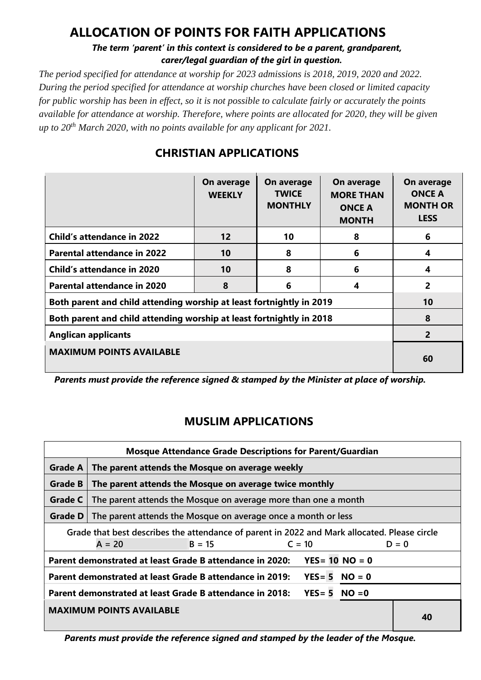## **ALLOCATION OF POINTS FOR FAITH APPLICATIONS**

#### *The term 'parent' in this context is considered to be a parent, grandparent, carer/legal guardian of the girl in question.*

*The period specified for attendance at worship for 2023 admissions is 2018, 2019, 2020 and 2022. During the period specified for attendance at worship churches have been closed or limited capacity for public worship has been in effect, so it is not possible to calculate fairly or accurately the points available for attendance at worship. Therefore, where points are allocated for 2020, they will be given up to 20th March 2020, with no points available for any applicant for 2021.*

|                                                                      | On average<br><b>WEEKLY</b> | On average<br><b>TWICE</b><br><b>MONTHLY</b> | On average<br><b>MORE THAN</b><br><b>ONCE A</b><br><b>MONTH</b> | On average<br><b>ONCE A</b><br><b>MONTH OR</b><br><b>LESS</b> |
|----------------------------------------------------------------------|-----------------------------|----------------------------------------------|-----------------------------------------------------------------|---------------------------------------------------------------|
| <b>Child's attendance in 2022</b>                                    | 12                          | 10                                           | 8                                                               | 6                                                             |
| <b>Parental attendance in 2022</b>                                   | 10                          | 8                                            | 6                                                               | 4                                                             |
| <b>Child's attendance in 2020</b>                                    | 10                          | 8                                            | 6                                                               | 4                                                             |
| Parental attendance in 2020                                          | 8                           | 6                                            | 4                                                               | 2                                                             |
| Both parent and child attending worship at least fortnightly in 2019 | 10                          |                                              |                                                                 |                                                               |
| Both parent and child attending worship at least fortnightly in 2018 | 8                           |                                              |                                                                 |                                                               |
| <b>Anglican applicants</b>                                           | $\overline{2}$              |                                              |                                                                 |                                                               |
| <b>MAXIMUM POINTS AVAILABLE</b>                                      | 60                          |                                              |                                                                 |                                                               |

### **CHRISTIAN APPLICATIONS**

*Parents must provide the reference signed & stamped by the Minister at place of worship.*

### **MUSLIM APPLICATIONS**

| <b>Mosque Attendance Grade Descriptions for Parent/Guardian</b> |                                                                                              |          |          |                        |  |         |  |
|-----------------------------------------------------------------|----------------------------------------------------------------------------------------------|----------|----------|------------------------|--|---------|--|
| <b>Grade A</b>                                                  | The parent attends the Mosque on average weekly                                              |          |          |                        |  |         |  |
| <b>Grade B</b>                                                  | The parent attends the Mosque on average twice monthly                                       |          |          |                        |  |         |  |
| Grade C                                                         | The parent attends the Mosque on average more than one a month                               |          |          |                        |  |         |  |
| Grade D                                                         | The parent attends the Mosque on average once a month or less                                |          |          |                        |  |         |  |
|                                                                 | Grade that best describes the attendance of parent in 2022 and Mark allocated. Please circle |          |          |                        |  |         |  |
|                                                                 | $A = 20$                                                                                     | $B = 15$ | $C = 10$ |                        |  | $D = 0$ |  |
|                                                                 | Parent demonstrated at least Grade B attendance in 2020:                                     |          |          | $YES = 10 NO = 0$      |  |         |  |
|                                                                 | Parent demonstrated at least Grade B attendance in 2019:                                     |          |          | $YES = 5 NO = 0$       |  |         |  |
|                                                                 | Parent demonstrated at least Grade B attendance in 2018:                                     |          |          | $YES = 5 \quad NO = 0$ |  |         |  |
|                                                                 | <b>MAXIMUM POINTS AVAILABLE</b>                                                              |          |          |                        |  | 40      |  |

*Parents must provide the reference signed and stamped by the leader of the Mosque.*